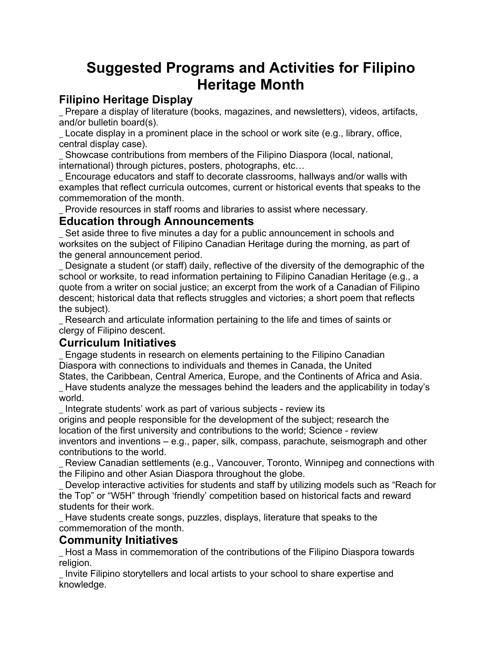# **Suggested Programs and Activities for Filipino Heritage Month**

## **Filipino Heritage Display**

\_ Prepare a display of literature (books, magazines, and newsletters), videos, artifacts, and/or bulletin board(s).

Locate display in a prominent place in the school or work site (e.g., library, office, central display case).

Showcase contributions from members of the Filipino Diaspora (local, national, international) through pictures, posters, photographs, etc…

\_ Encourage educators and staff to decorate classrooms, hallways and/or walls with examples that reflect curricula outcomes, current or historical events that speaks to the commemoration of the month.

Provide resources in staff rooms and libraries to assist where necessary.

#### **Education through Announcements**

\_ Set aside three to five minutes a day for a public announcement in schools and worksites on the subject of Filipino Canadian Heritage during the morning, as part of the general announcement period.

Designate a student (or staff) daily, reflective of the diversity of the demographic of the school or worksite, to read information pertaining to Filipino Canadian Heritage (e.g., a quote from a writer on social justice; an excerpt from the work of a Canadian of Filipino descent; historical data that reflects struggles and victories; a short poem that reflects the subject).

\_ Research and articulate information pertaining to the life and times of saints or clergy of Filipino descent.

### **Curriculum Initiatives**

\_ Engage students in research on elements pertaining to the Filipino Canadian Diaspora with connections to individuals and themes in Canada, the United

States, the Caribbean, Central America, Europe, and the Continents of Africa and Asia. Have students analyze the messages behind the leaders and the applicability in today's world.

Integrate students' work as part of various subjects - review its

origins and people responsible for the development of the subject; research the location of the first university and contributions to the world; Science - review inventors and inventions – e.g., paper, silk, compass, parachute, seismograph and other contributions to the world.

Review Canadian settlements (e.g., Vancouver, Toronto, Winnipeg and connections with the Filipino and other Asian Diaspora throughout the globe.

Develop interactive activities for students and staff by utilizing models such as "Reach for the Top" or "W5H" through 'friendly' competition based on historical facts and reward students for their work.

\_ Have students create songs, puzzles, displays, literature that speaks to the commemoration of the month.

#### **Community Initiatives**

\_ Host a Mass in commemoration of the contributions of the Filipino Diaspora towards religion.

\_ Invite Filipino storytellers and local artists to your school to share expertise and knowledge.